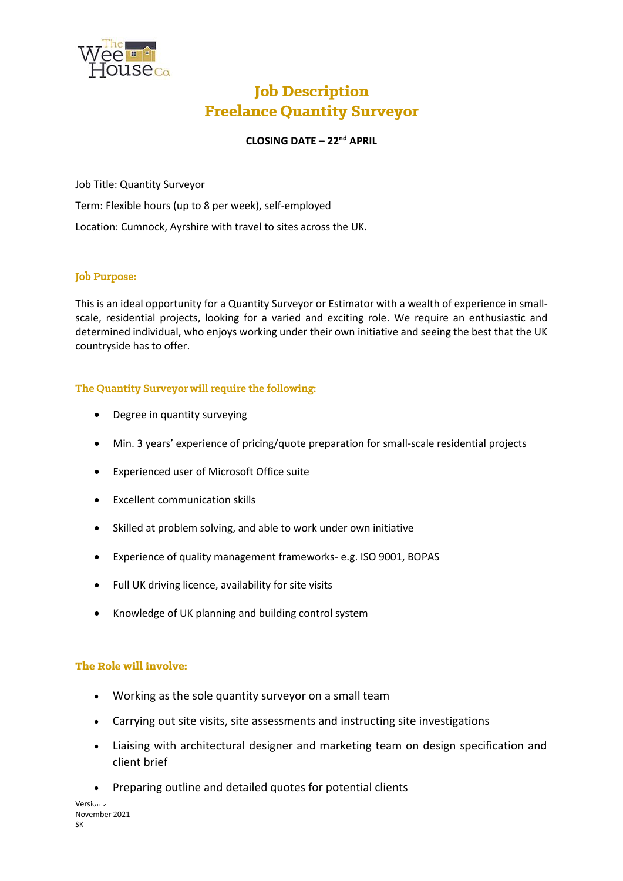

# **Job Description Freelance Quantity Surveyor**

## **CLOSING DATE – 22nd APRIL**

Job Title: Quantity Surveyor

Term: Flexible hours (up to 8 per week), self-employed

Location: Cumnock, Ayrshire with travel to sites across the UK.

### **Job Purpose:**

This is an ideal opportunity for a Quantity Surveyor or Estimator with a wealth of experience in smallscale, residential projects, looking for a varied and exciting role. We require an enthusiastic and determined individual, who enjoys working under their own initiative and seeing the best that the UK countryside has to offer.

### The Quantity Surveyor will require the following:

- Degree in quantity surveying
- Min. 3 years' experience of pricing/quote preparation for small-scale residential projects
- Experienced user of Microsoft Office suite
- Excellent communication skills
- Skilled at problem solving, and able to work under own initiative
- Experience of quality management frameworks- e.g. ISO 9001, BOPAS
- Full UK driving licence, availability for site visits
- Knowledge of UK planning and building control system

#### The Role will involve:

- Working as the sole quantity surveyor on a small team
- Carrying out site visits, site assessments and instructing site investigations
- Liaising with architectural designer and marketing team on design specification and client brief
- Preparing outline and detailed quotes for potential clients